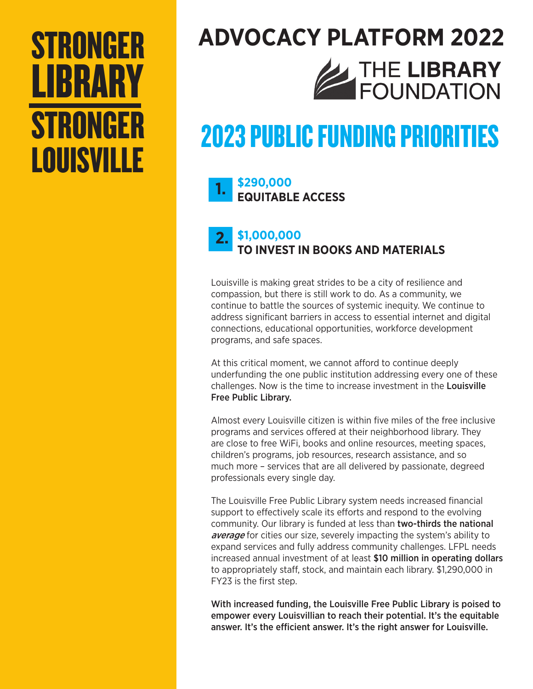## STRONGER LIBRARY **STRONGER** LOUISVILLE

# **ADVOCACY PLATFORM 2022** THE LIBRARY

## 2023 PUBLIC FUNDING PRIORITIES

#### **\$290,000 EQUITABLE ACCESS 1.**

#### **\$1,000,000 TO INVEST IN BOOKS AND MATERIALS 2.**

Louisville is making great strides to be a city of resilience and compassion, but there is still work to do. As a community, we continue to battle the sources of systemic inequity. We continue to address significant barriers in access to essential internet and digital connections, educational opportunities, workforce development programs, and safe spaces.

At this critical moment, we cannot afford to continue deeply underfunding the one public institution addressing every one of these challenges. Now is the time to increase investment in the Louisville Free Public Library.

Almost every Louisville citizen is within five miles of the free inclusive programs and services offered at their neighborhood library. They are close to free WiFi, books and online resources, meeting spaces, children's programs, job resources, research assistance, and so much more – services that are all delivered by passionate, degreed professionals every single day.

The Louisville Free Public Library system needs increased financial support to effectively scale its efforts and respond to the evolving community. Our library is funded at less than two-thirds the national average for cities our size, severely impacting the system's ability to expand services and fully address community challenges. LFPL needs increased annual investment of at least \$10 million in operating dollars to appropriately staff, stock, and maintain each library. \$1,290,000 in FY23 is the first step.

With increased funding, the Louisville Free Public Library is poised to empower every Louisvillian to reach their potential. It's the equitable answer. It's the efficient answer. It's the right answer for Louisville.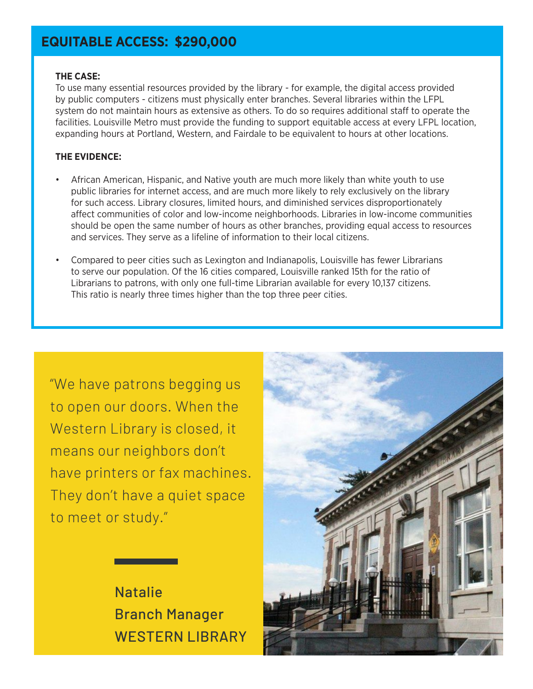## **EQUITABLE ACCESS: \$290,000**

#### **THE CASE:**

To use many essential resources provided by the library - for example, the digital access provided by public computers - citizens must physically enter branches. Several libraries within the LFPL system do not maintain hours as extensive as others. To do so requires additional staff to operate the facilities. Louisville Metro must provide the funding to support equitable access at every LFPL location, expanding hours at Portland, Western, and Fairdale to be equivalent to hours at other locations.

#### **THE EVIDENCE:**

- African American, Hispanic, and Native youth are much more likely than white youth to use public libraries for internet access, and are much more likely to rely exclusively on the library for such access. Library closures, limited hours, and diminished services disproportionately affect communities of color and low-income neighborhoods. Libraries in low-income communities should be open the same number of hours as other branches, providing equal access to resources and services. They serve as a lifeline of information to their local citizens.
- Compared to peer cities such as Lexington and Indianapolis, Louisville has fewer Librarians to serve our population. Of the 16 cities compared, Louisville ranked 15th for the ratio of Librarians to patrons, with only one full-time Librarian available for every 10,137 citizens. This ratio is nearly three times higher than the top three peer cities.

"We have patrons begging us to open our doors. When the Western Library is closed, it means our neighbors don't have printers or fax machines. They don't have a quiet space to meet or study."



Natalie Branch Manager WESTERN LIBRARY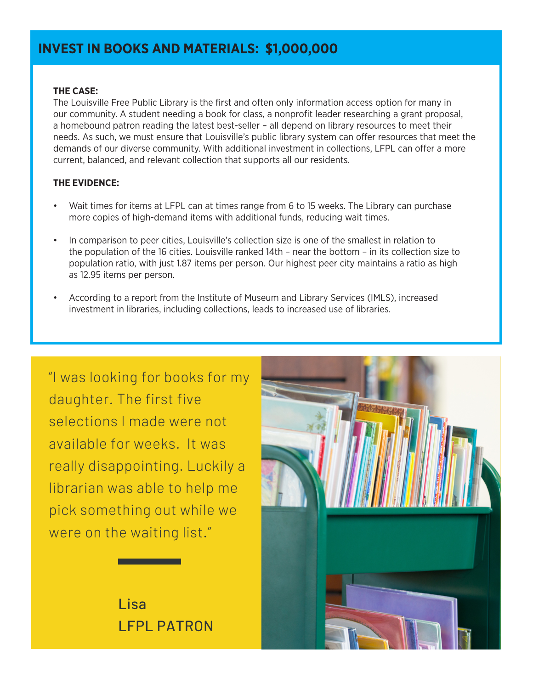## **INVEST IN BOOKS AND MATERIALS: \$1,000,000**

#### **THE CASE:**

The Louisville Free Public Library is the first and often only information access option for many in our community. A student needing a book for class, a nonprofit leader researching a grant proposal, a homebound patron reading the latest best-seller – all depend on library resources to meet their needs. As such, we must ensure that Louisville's public library system can offer resources that meet the demands of our diverse community. With additional investment in collections, LFPL can offer a more current, balanced, and relevant collection that supports all our residents.

#### **THE EVIDENCE:**

- Wait times for items at LFPL can at times range from 6 to 15 weeks. The Library can purchase more copies of high-demand items with additional funds, reducing wait times.
- In comparison to peer cities, Louisville's collection size is one of the smallest in relation to the population of the 16 cities. Louisville ranked 14th – near the bottom – in its collection size to population ratio, with just 1.87 items per person. Our highest peer city maintains a ratio as high as 12.95 items per person.
- According to a report from the Institute of Museum and Library Services (IMLS), increased investment in libraries, including collections, leads to increased use of libraries.

"I was looking for books for my daughter. The first five selections I made were not available for weeks. It was really disappointing. Luckily a librarian was able to help me pick something out while we were on the waiting list."

> Lisa LFPL PATRON